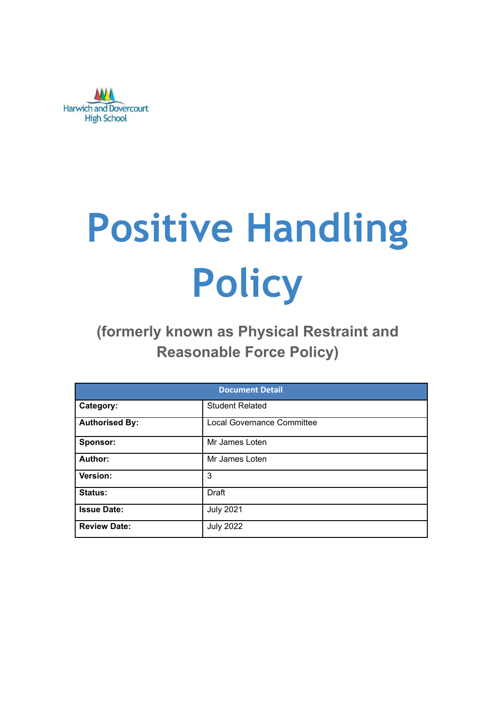

# **Positive Handling Policy**

# **(formerly known as Physical Restraint and Reasonable Force Policy)**

| <b>Document Detail</b> |                                   |  |  |  |
|------------------------|-----------------------------------|--|--|--|
| Category:              | <b>Student Related</b>            |  |  |  |
| <b>Authorised By:</b>  | <b>Local Governance Committee</b> |  |  |  |
| Sponsor:               | Mr James Loten                    |  |  |  |
| Author:                | Mr James Loten                    |  |  |  |
| Version:               | 3                                 |  |  |  |
| Status:                | Draft                             |  |  |  |
| <b>Issue Date:</b>     | <b>July 2021</b>                  |  |  |  |
| <b>Review Date:</b>    | <b>July 2022</b>                  |  |  |  |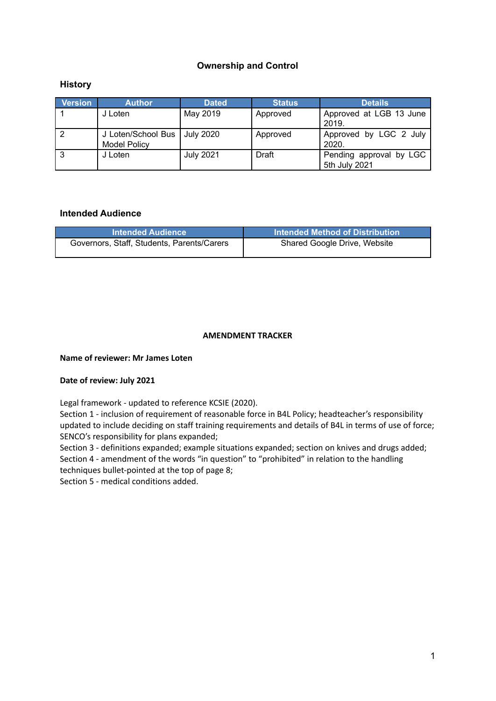#### **Ownership and Control**

#### **History**

| <b>Version</b> | <b>Author</b>                             | <b>Dated</b>     | <b>Status</b> | <b>Details</b>                           |
|----------------|-------------------------------------------|------------------|---------------|------------------------------------------|
|                | J Loten                                   | May 2019         | Approved      | Approved at LGB 13 June<br>2019.         |
|                | J Loten/School Bus<br><b>Model Policy</b> | July 2020        | Approved      | Approved by LGC 2 July<br>2020.          |
| ∣3             | J Loten                                   | <b>July 2021</b> | Draft         | Pending approval by LGC<br>5th July 2021 |

#### **Intended Audience**

| <b>Intended Audience</b>                   | <b>Intended Method of Distribution</b> |
|--------------------------------------------|----------------------------------------|
| Governors, Staff, Students, Parents/Carers | Shared Google Drive, Website           |

#### **AMENDMENT TRACKER**

#### **Name of reviewer: Mr James Loten**

#### **Date of review: July 2021**

Legal framework - updated to reference KCSIE (2020).

Section 1 - inclusion of requirement of reasonable force in B4L Policy; headteacher's responsibility updated to include deciding on staff training requirements and details of B4L in terms of use of force; SENCO's responsibility for plans expanded;

Section 3 - definitions expanded; example situations expanded; section on knives and drugs added; Section 4 - amendment of the words "in question" to "prohibited" in relation to the handling techniques bullet-pointed at the top of page 8;

Section 5 - medical conditions added.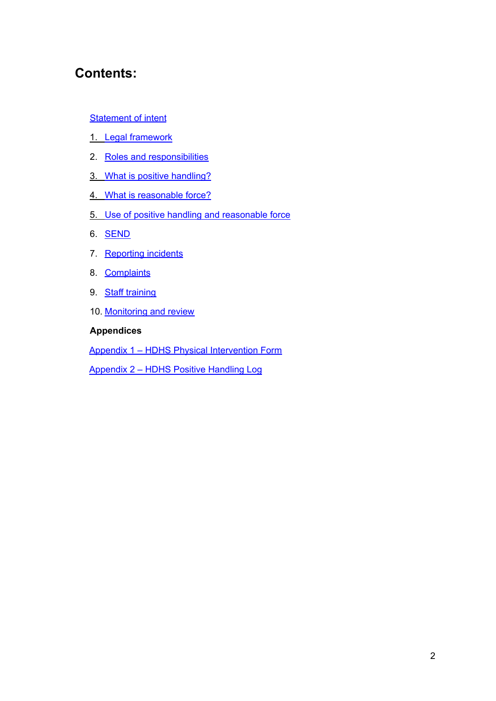## **Contents:**

#### **[Statement](#page-3-0) of intent**

- 1. Legal [framework](#page-4-0)
- 2. Roles and [responsibilities](#page-4-1)
- 3. What is positive [handling?](#page-5-0)
- 4. What is [reasonable](#page-6-0) force?
- 5. Use of positive handling and [reasonable](#page-7-0) force
- 6. [SEND](#page-8-0)
- 7. [Reporting](#page-8-1) incidents
- 8. [Complaints](#page-9-0)
- 9. Staff [training](#page-9-1)
- 10. [Monitoring](#page-10-0) and review

#### **Appendices**

Appendix 1 – HDHS Physical Intervention Form

Appendix 2 – HDHS Positive Handling Log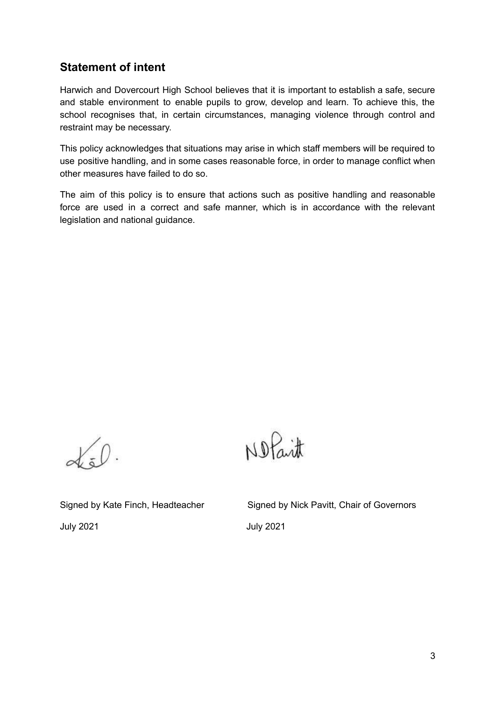### <span id="page-3-0"></span>**Statement of intent**

Harwich and Dovercourt High School believes that it is important to establish a safe, secure and stable environment to enable pupils to grow, develop and learn. To achieve this, the school recognises that, in certain circumstances, managing violence through control and restraint may be necessary.

This policy acknowledges that situations may arise in which staff members will be required to use positive handling, and in some cases reasonable force, in order to manage conflict when other measures have failed to do so.

The aim of this policy is to ensure that actions such as positive handling and reasonable force are used in a correct and safe manner, which is in accordance with the relevant legislation and national guidance.

 $\alpha$ 

Nofait

July 2021 July 2021

Signed by Kate Finch, Headteacher Signed by Nick Pavitt, Chair of Governors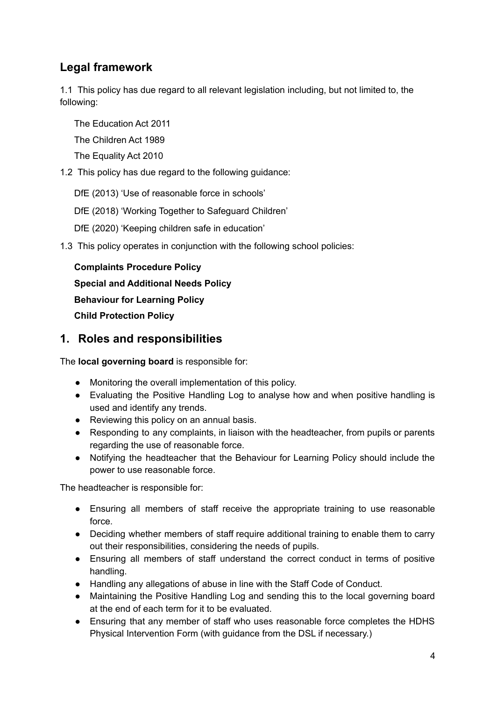## <span id="page-4-0"></span>**Legal framework**

1.1 This policy has due regard to all relevant legislation including, but not limited to, the following:

The Education Act 2011

The Children Act 1989

The Equality Act 2010

- 1.2 This policy has due regard to the following guidance:
	- DfE (2013) 'Use of reasonable force in schools'

DfE (2018) 'Working Together to Safeguard Children'

DfE (2020) 'Keeping children safe in education'

1.3 This policy operates in conjunction with the following school policies:

**Complaints Procedure Policy Special and Additional Needs Policy Behaviour for Learning Policy Child Protection Policy**

### <span id="page-4-1"></span>**1. Roles and responsibilities**

The **local governing board** is responsible for:

- Monitoring the overall implementation of this policy.
- Evaluating the Positive Handling Log to analyse how and when positive handling is used and identify any trends.
- Reviewing this policy on an annual basis.
- Responding to any complaints, in liaison with the headteacher, from pupils or parents regarding the use of reasonable force.
- Notifying the headteacher that the Behaviour for Learning Policy should include the power to use reasonable force.

The headteacher is responsible for:

- Ensuring all members of staff receive the appropriate training to use reasonable force.
- Deciding whether members of staff require additional training to enable them to carry out their responsibilities, considering the needs of pupils.
- Ensuring all members of staff understand the correct conduct in terms of positive handling.
- Handling any allegations of abuse in line with the Staff Code of Conduct.
- Maintaining the Positive Handling Log and sending this to the local governing board at the end of each term for it to be evaluated.
- Ensuring that any member of staff who uses reasonable force completes the HDHS Physical Intervention Form (with guidance from the DSL if necessary.)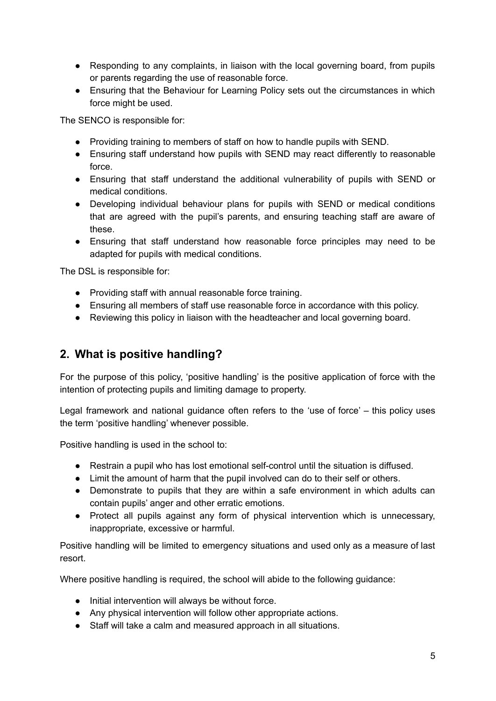- Responding to any complaints, in liaison with the local governing board, from pupils or parents regarding the use of reasonable force.
- Ensuring that the Behaviour for Learning Policy sets out the circumstances in which force might be used.

The SENCO is responsible for:

- Providing training to members of staff on how to handle pupils with SEND.
- Ensuring staff understand how pupils with SEND may react differently to reasonable force.
- Ensuring that staff understand the additional vulnerability of pupils with SEND or medical conditions.
- Developing individual behaviour plans for pupils with SEND or medical conditions that are agreed with the pupil's parents, and ensuring teaching staff are aware of these.
- Ensuring that staff understand how reasonable force principles may need to be adapted for pupils with medical conditions.

The DSL is responsible for:

- Providing staff with annual reasonable force training.
- Ensuring all members of staff use reasonable force in accordance with this policy.
- Reviewing this policy in liaison with the headteacher and local governing board.

### <span id="page-5-0"></span>**2. What is positive handling?**

For the purpose of this policy, 'positive handling' is the positive application of force with the intention of protecting pupils and limiting damage to property.

Legal framework and national guidance often refers to the 'use of force' – this policy uses the term 'positive handling' whenever possible.

Positive handling is used in the school to:

- Restrain a pupil who has lost emotional self-control until the situation is diffused.
- Limit the amount of harm that the pupil involved can do to their self or others.
- Demonstrate to pupils that they are within a safe environment in which adults can contain pupils' anger and other erratic emotions.
- Protect all pupils against any form of physical intervention which is unnecessary, inappropriate, excessive or harmful.

Positive handling will be limited to emergency situations and used only as a measure of last resort.

Where positive handling is required, the school will abide to the following quidance:

- Initial intervention will always be without force.
- Any physical intervention will follow other appropriate actions.
- Staff will take a calm and measured approach in all situations.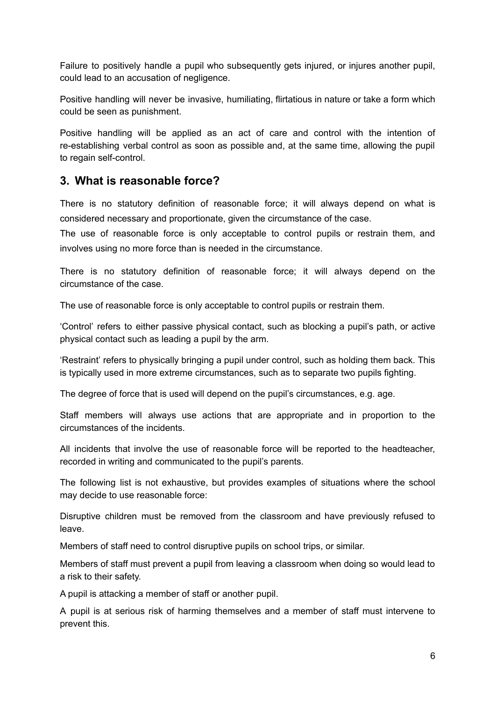Failure to positively handle a pupil who subsequently gets injured, or injures another pupil, could lead to an accusation of negligence.

Positive handling will never be invasive, humiliating, flirtatious in nature or take a form which could be seen as punishment.

Positive handling will be applied as an act of care and control with the intention of re-establishing verbal control as soon as possible and, at the same time, allowing the pupil to regain self-control.

### <span id="page-6-0"></span>**3. What is reasonable force?**

There is no statutory definition of reasonable force; it will always depend on what is considered necessary and proportionate, given the circumstance of the case.

The use of reasonable force is only acceptable to control pupils or restrain them, and involves using no more force than is needed in the circumstance.

There is no statutory definition of reasonable force; it will always depend on the circumstance of the case.

The use of reasonable force is only acceptable to control pupils or restrain them.

'Control' refers to either passive physical contact, such as blocking a pupil's path, or active physical contact such as leading a pupil by the arm.

'Restraint' refers to physically bringing a pupil under control, such as holding them back. This is typically used in more extreme circumstances, such as to separate two pupils fighting.

The degree of force that is used will depend on the pupil's circumstances, e.g. age.

Staff members will always use actions that are appropriate and in proportion to the circumstances of the incidents.

All incidents that involve the use of reasonable force will be reported to the headteacher, recorded in writing and communicated to the pupil's parents.

The following list is not exhaustive, but provides examples of situations where the school may decide to use reasonable force:

Disruptive children must be removed from the classroom and have previously refused to leave.

Members of staff need to control disruptive pupils on school trips, or similar.

Members of staff must prevent a pupil from leaving a classroom when doing so would lead to a risk to their safety.

A pupil is attacking a member of staff or another pupil.

A pupil is at serious risk of harming themselves and a member of staff must intervene to prevent this.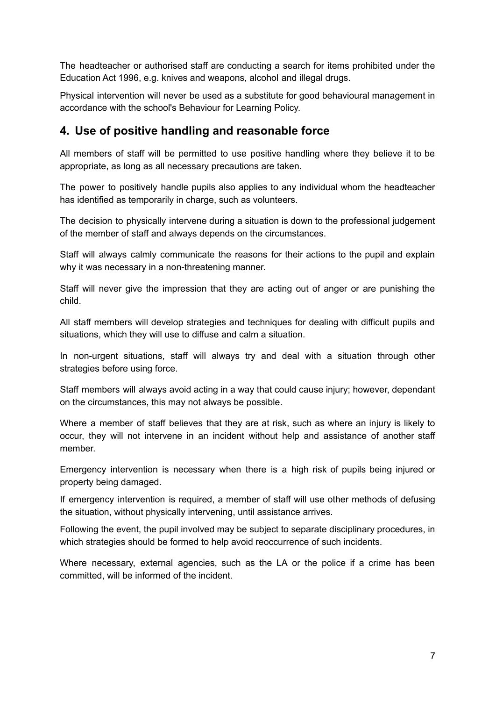The headteacher or authorised staff are conducting a search for items prohibited under the Education Act 1996, e.g. knives and weapons, alcohol and illegal drugs.

Physical intervention will never be used as a substitute for good behavioural management in accordance with the school's Behaviour for Learning Policy.

### <span id="page-7-0"></span>**4. Use of positive handling and reasonable force**

All members of staff will be permitted to use positive handling where they believe it to be appropriate, as long as all necessary precautions are taken.

The power to positively handle pupils also applies to any individual whom the headteacher has identified as temporarily in charge, such as volunteers.

The decision to physically intervene during a situation is down to the professional judgement of the member of staff and always depends on the circumstances.

Staff will always calmly communicate the reasons for their actions to the pupil and explain why it was necessary in a non-threatening manner.

Staff will never give the impression that they are acting out of anger or are punishing the child.

All staff members will develop strategies and techniques for dealing with difficult pupils and situations, which they will use to diffuse and calm a situation.

In non-urgent situations, staff will always try and deal with a situation through other strategies before using force.

Staff members will always avoid acting in a way that could cause injury; however, dependant on the circumstances, this may not always be possible.

Where a member of staff believes that they are at risk, such as where an injury is likely to occur, they will not intervene in an incident without help and assistance of another staff member.

Emergency intervention is necessary when there is a high risk of pupils being injured or property being damaged.

If emergency intervention is required, a member of staff will use other methods of defusing the situation, without physically intervening, until assistance arrives.

Following the event, the pupil involved may be subject to separate disciplinary procedures, in which strategies should be formed to help avoid reoccurrence of such incidents.

Where necessary, external agencies, such as the LA or the police if a crime has been committed, will be informed of the incident.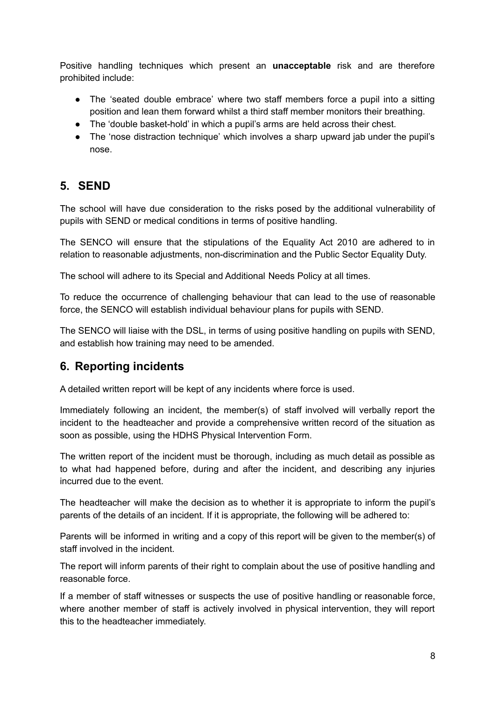Positive handling techniques which present an **unacceptable** risk and are therefore prohibited include:

- The 'seated double embrace' where two staff members force a pupil into a sitting position and lean them forward whilst a third staff member monitors their breathing.
- The 'double basket-hold' in which a pupil's arms are held across their chest.
- The 'nose distraction technique' which involves a sharp upward jab under the pupil's nose.

## <span id="page-8-0"></span>**5. SEND**

The school will have due consideration to the risks posed by the additional vulnerability of pupils with SEND or medical conditions in terms of positive handling.

The SENCO will ensure that the stipulations of the Equality Act 2010 are adhered to in relation to reasonable adjustments, non-discrimination and the Public Sector Equality Duty.

The school will adhere to its Special and Additional Needs Policy at all times.

To reduce the occurrence of challenging behaviour that can lead to the use of reasonable force, the SENCO will establish individual behaviour plans for pupils with SEND.

The SENCO will liaise with the DSL, in terms of using positive handling on pupils with SEND, and establish how training may need to be amended.

## <span id="page-8-1"></span>**6. Reporting incidents**

A detailed written report will be kept of any incidents where force is used.

Immediately following an incident, the member(s) of staff involved will verbally report the incident to the headteacher and provide a comprehensive written record of the situation as soon as possible, using the HDHS Physical Intervention Form.

The written report of the incident must be thorough, including as much detail as possible as to what had happened before, during and after the incident, and describing any injuries incurred due to the event.

The headteacher will make the decision as to whether it is appropriate to inform the pupil's parents of the details of an incident. If it is appropriate, the following will be adhered to:

Parents will be informed in writing and a copy of this report will be given to the member(s) of staff involved in the incident.

The report will inform parents of their right to complain about the use of positive handling and reasonable force.

If a member of staff witnesses or suspects the use of positive handling or reasonable force, where another member of staff is actively involved in physical intervention, they will report this to the headteacher immediately.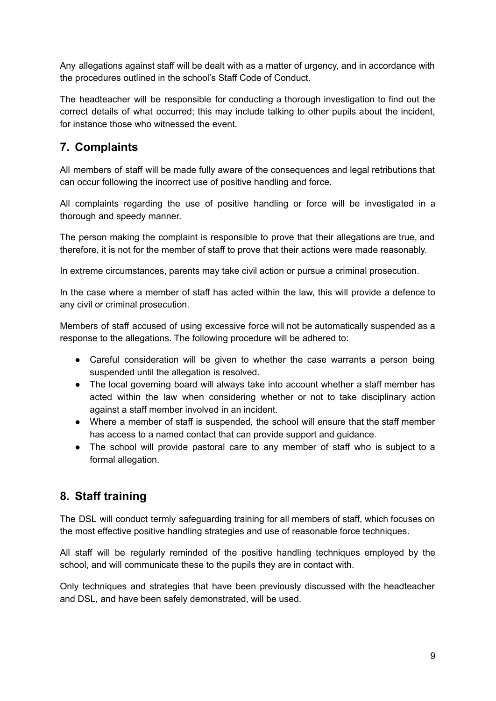Any allegations against staff will be dealt with as a matter of urgency, and in accordance with the procedures outlined in the school's Staff Code of Conduct.

The headteacher will be responsible for conducting a thorough investigation to find out the correct details of what occurred; this may include talking to other pupils about the incident, for instance those who witnessed the event.

## <span id="page-9-0"></span>**7. Complaints**

All members of staff will be made fully aware of the consequences and legal retributions that can occur following the incorrect use of positive handling and force.

All complaints regarding the use of positive handling or force will be investigated in a thorough and speedy manner.

The person making the complaint is responsible to prove that their allegations are true, and therefore, it is not for the member of staff to prove that their actions were made reasonably.

In extreme circumstances, parents may take civil action or pursue a criminal prosecution.

In the case where a member of staff has acted within the law, this will provide a defence to any civil or criminal prosecution.

Members of staff accused of using excessive force will not be automatically suspended as a response to the allegations. The following procedure will be adhered to:

- Careful consideration will be given to whether the case warrants a person being suspended until the allegation is resolved.
- The local governing board will always take into account whether a staff member has acted within the law when considering whether or not to take disciplinary action against a staff member involved in an incident.
- Where a member of staff is suspended, the school will ensure that the staff member has access to a named contact that can provide support and guidance.
- The school will provide pastoral care to any member of staff who is subject to a formal allegation.

## <span id="page-9-1"></span>**8. Staff training**

The DSL will conduct termly safeguarding training for all members of staff, which focuses on the most effective positive handling strategies and use of reasonable force techniques.

All staff will be regularly reminded of the positive handling techniques employed by the school, and will communicate these to the pupils they are in contact with.

Only techniques and strategies that have been previously discussed with the headteacher and DSL, and have been safely demonstrated, will be used.